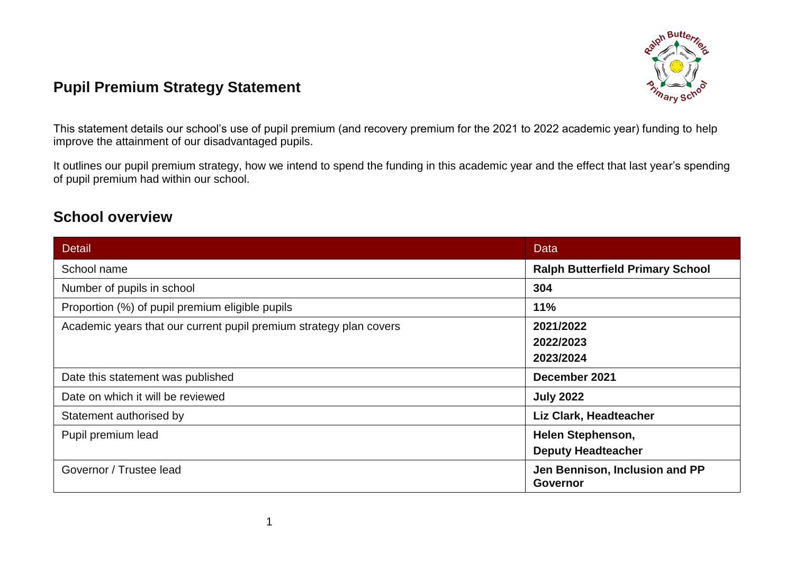

### **Pupil Premium Strategy Statement**

This statement details our school's use of pupil premium (and recovery premium for the 2021 to 2022 academic year) funding to help improve the attainment of our disadvantaged pupils.

It outlines our pupil premium strategy, how we intend to spend the funding in this academic year and the effect that last year's spending of pupil premium had within our school.

#### **School overview**

| <b>Detail</b>                                                      | Data                                              |
|--------------------------------------------------------------------|---------------------------------------------------|
| School name                                                        | <b>Ralph Butterfield Primary School</b>           |
| Number of pupils in school                                         | 304                                               |
| Proportion (%) of pupil premium eligible pupils                    | 11%                                               |
| Academic years that our current pupil premium strategy plan covers | 2021/2022                                         |
|                                                                    | 2022/2023                                         |
|                                                                    | 2023/2024                                         |
| Date this statement was published                                  | December 2021                                     |
| Date on which it will be reviewed                                  | <b>July 2022</b>                                  |
| Statement authorised by                                            | Liz Clark, Headteacher                            |
| Helen Stephenson,<br>Pupil premium lead                            |                                                   |
| <b>Deputy Headteacher</b>                                          |                                                   |
| Governor / Trustee lead                                            | Jen Bennison, Inclusion and PP<br><b>Governor</b> |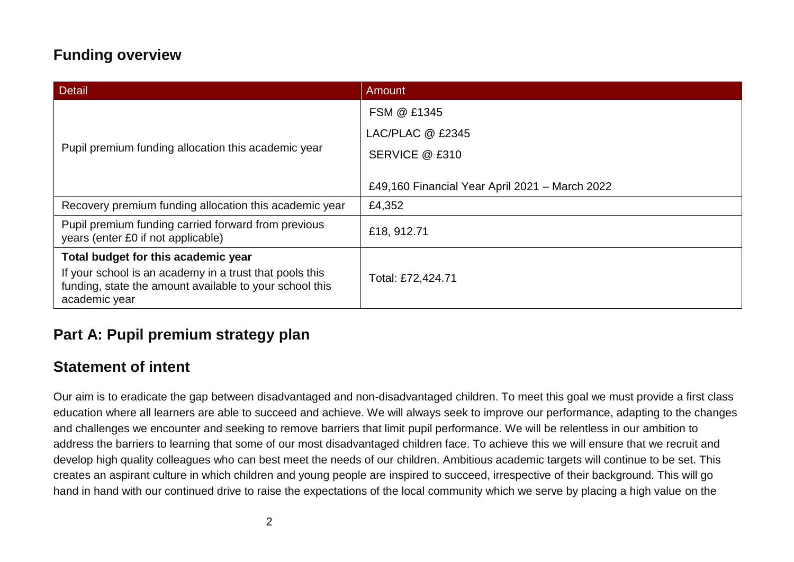### **Funding overview**

| <b>Detail</b>                                                                                                                       | Amount                                         |
|-------------------------------------------------------------------------------------------------------------------------------------|------------------------------------------------|
|                                                                                                                                     | FSM @ £1345                                    |
|                                                                                                                                     | LAC/PLAC @ £2345                               |
| Pupil premium funding allocation this academic year                                                                                 | SERVICE @ £310                                 |
|                                                                                                                                     | £49,160 Financial Year April 2021 - March 2022 |
| Recovery premium funding allocation this academic year                                                                              | £4,352                                         |
| Pupil premium funding carried forward from previous<br>years (enter £0 if not applicable)                                           | £18, 912.71                                    |
| Total budget for this academic year                                                                                                 |                                                |
| If your school is an academy in a trust that pools this<br>funding, state the amount available to your school this<br>academic year | Total: £72,424.71                              |

### **Part A: Pupil premium strategy plan**

### **Statement of intent**

Our aim is to eradicate the gap between disadvantaged and non-disadvantaged children. To meet this goal we must provide a first class education where all learners are able to succeed and achieve. We will always seek to improve our performance, adapting to the changes and challenges we encounter and seeking to remove barriers that limit pupil performance. We will be relentless in our ambition to address the barriers to learning that some of our most disadvantaged children face. To achieve this we will ensure that we recruit and develop high quality colleagues who can best meet the needs of our children. Ambitious academic targets will continue to be set. This creates an aspirant culture in which children and young people are inspired to succeed, irrespective of their background. This will go hand in hand with our continued drive to raise the expectations of the local community which we serve by placing a high value on the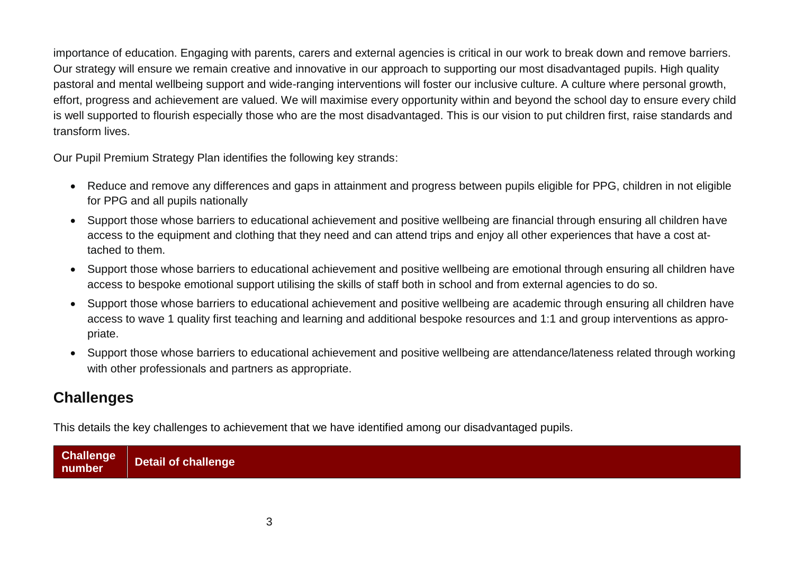importance of education. Engaging with parents, carers and external agencies is critical in our work to break down and remove barriers. Our strategy will ensure we remain creative and innovative in our approach to supporting our most disadvantaged pupils. High quality pastoral and mental wellbeing support and wide-ranging interventions will foster our inclusive culture. A culture where personal growth, effort, progress and achievement are valued. We will maximise every opportunity within and beyond the school day to ensure every child is well supported to flourish especially those who are the most disadvantaged. This is our vision to put children first, raise standards and transform lives.

Our Pupil Premium Strategy Plan identifies the following key strands:

- Reduce and remove any differences and gaps in attainment and progress between pupils eligible for PPG, children in not eligible for PPG and all pupils nationally
- Support those whose barriers to educational achievement and positive wellbeing are financial through ensuring all children have access to the equipment and clothing that they need and can attend trips and enjoy all other experiences that have a cost attached to them.
- Support those whose barriers to educational achievement and positive wellbeing are emotional through ensuring all children have access to bespoke emotional support utilising the skills of staff both in school and from external agencies to do so.
- Support those whose barriers to educational achievement and positive wellbeing are academic through ensuring all children have access to wave 1 quality first teaching and learning and additional bespoke resources and 1:1 and group interventions as appropriate.
- Support those whose barriers to educational achievement and positive wellbeing are attendance/lateness related through working with other professionals and partners as appropriate.

### **Challenges**

This details the key challenges to achievement that we have identified among our disadvantaged pupils.

| <b>Challenge</b><br><b>number</b> | <b>Detail of challenge</b> |
|-----------------------------------|----------------------------|
|                                   |                            |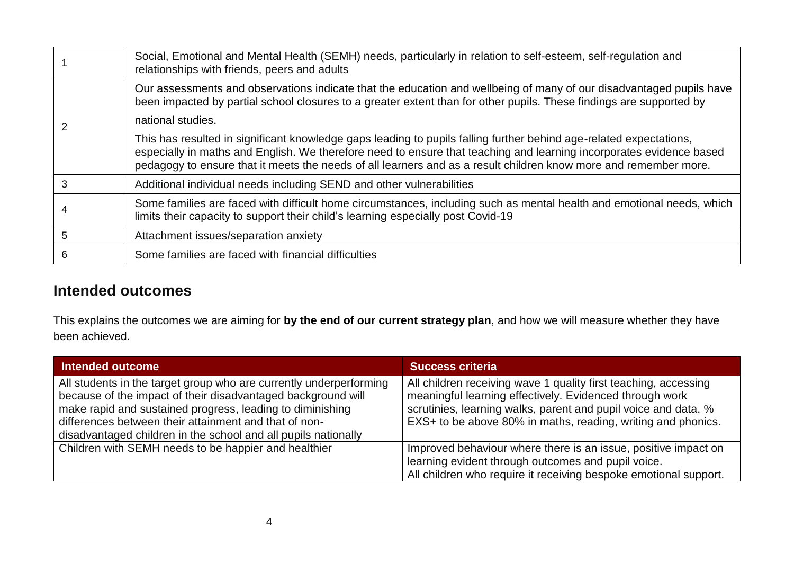| Social, Emotional and Mental Health (SEMH) needs, particularly in relation to self-esteem, self-regulation and<br>relationships with friends, peers and adults |                                                                                                                                                                                                                                                                                                                                                               |
|----------------------------------------------------------------------------------------------------------------------------------------------------------------|---------------------------------------------------------------------------------------------------------------------------------------------------------------------------------------------------------------------------------------------------------------------------------------------------------------------------------------------------------------|
|                                                                                                                                                                | Our assessments and observations indicate that the education and wellbeing of many of our disadvantaged pupils have<br>been impacted by partial school closures to a greater extent than for other pupils. These findings are supported by                                                                                                                    |
|                                                                                                                                                                | national studies.                                                                                                                                                                                                                                                                                                                                             |
|                                                                                                                                                                | This has resulted in significant knowledge gaps leading to pupils falling further behind age-related expectations,<br>especially in maths and English. We therefore need to ensure that teaching and learning incorporates evidence based<br>pedagogy to ensure that it meets the needs of all learners and as a result children know more and remember more. |
| Additional individual needs including SEND and other vulnerabilities<br>3                                                                                      |                                                                                                                                                                                                                                                                                                                                                               |
|                                                                                                                                                                | Some families are faced with difficult home circumstances, including such as mental health and emotional needs, which<br>limits their capacity to support their child's learning especially post Covid-19                                                                                                                                                     |
| 5                                                                                                                                                              | Attachment issues/separation anxiety                                                                                                                                                                                                                                                                                                                          |
| 6                                                                                                                                                              | Some families are faced with financial difficulties                                                                                                                                                                                                                                                                                                           |

#### **Intended outcomes**

This explains the outcomes we are aiming for **by the end of our current strategy plan**, and how we will measure whether they have been achieved.

| Intended outcome                                                                                                                                                                                                                                                                                                           | <b>Success criteria</b>                                                                                                                                                                                                                                      |
|----------------------------------------------------------------------------------------------------------------------------------------------------------------------------------------------------------------------------------------------------------------------------------------------------------------------------|--------------------------------------------------------------------------------------------------------------------------------------------------------------------------------------------------------------------------------------------------------------|
| All students in the target group who are currently underperforming<br>because of the impact of their disadvantaged background will<br>make rapid and sustained progress, leading to diminishing<br>differences between their attainment and that of non-<br>disadvantaged children in the school and all pupils nationally | All children receiving wave 1 quality first teaching, accessing<br>meaningful learning effectively. Evidenced through work<br>scrutinies, learning walks, parent and pupil voice and data. %<br>EXS+ to be above 80% in maths, reading, writing and phonics. |
| Children with SEMH needs to be happier and healthier                                                                                                                                                                                                                                                                       | Improved behaviour where there is an issue, positive impact on<br>learning evident through outcomes and pupil voice.<br>All children who require it receiving bespoke emotional support.                                                                     |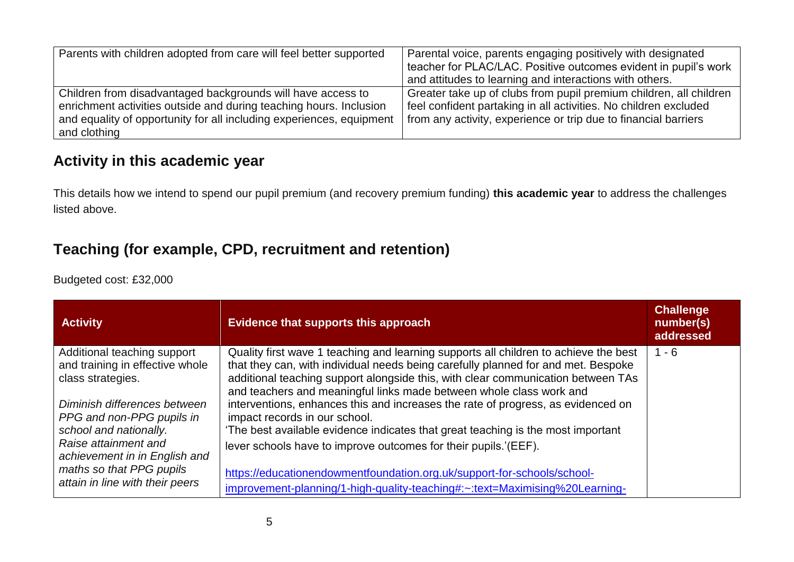| Parents with children adopted from care will feel better supported                                                                                                                                                        | Parental voice, parents engaging positively with designated<br>teacher for PLAC/LAC. Positive outcomes evident in pupil's work<br>and attitudes to learning and interactions with others.                 |
|---------------------------------------------------------------------------------------------------------------------------------------------------------------------------------------------------------------------------|-----------------------------------------------------------------------------------------------------------------------------------------------------------------------------------------------------------|
| Children from disadvantaged backgrounds will have access to<br>enrichment activities outside and during teaching hours. Inclusion<br>and equality of opportunity for all including experiences, equipment<br>and clothing | Greater take up of clubs from pupil premium children, all children<br>feel confident partaking in all activities. No children excluded<br>from any activity, experience or trip due to financial barriers |

#### **Activity in this academic year**

This details how we intend to spend our pupil premium (and recovery premium funding) **this academic year** to address the challenges listed above.

### **Teaching (for example, CPD, recruitment and retention)**

Budgeted cost: £32,000

| <b>Activity</b>                                                                     | <b>Evidence that supports this approach</b>                                                                                                                                                                                                                                                                                          | <b>Challenge</b><br>number(s)<br>addressed |
|-------------------------------------------------------------------------------------|--------------------------------------------------------------------------------------------------------------------------------------------------------------------------------------------------------------------------------------------------------------------------------------------------------------------------------------|--------------------------------------------|
| Additional teaching support<br>and training in effective whole<br>class strategies. | Quality first wave 1 teaching and learning supports all children to achieve the best<br>that they can, with individual needs being carefully planned for and met. Bespoke<br>additional teaching support alongside this, with clear communication between TAs<br>and teachers and meaningful links made between whole class work and | $1 - 6$                                    |
| Diminish differences between<br>PPG and non-PPG pupils in<br>school and nationally. | interventions, enhances this and increases the rate of progress, as evidenced on<br>impact records in our school.<br>'The best available evidence indicates that great teaching is the most important                                                                                                                                |                                            |
| Raise attainment and<br>achievement in in English and<br>maths so that PPG pupils   | lever schools have to improve outcomes for their pupils.'(EEF).<br>https://educationendowmentfoundation.org.uk/support-for-schools/school-                                                                                                                                                                                           |                                            |
| attain in line with their peers                                                     | improvement-planning/1-high-quality-teaching#:~:text=Maximising%20Learning-                                                                                                                                                                                                                                                          |                                            |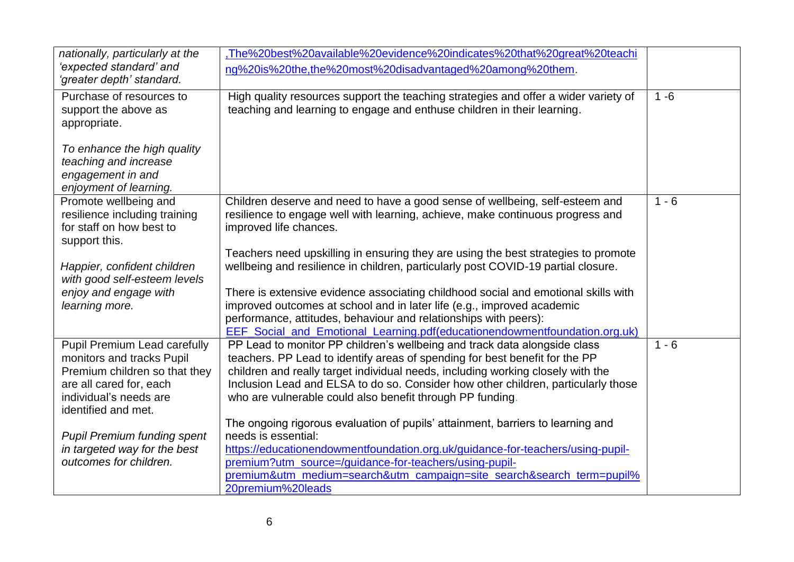| nationally, particularly at the<br>'expected standard' and<br>'greater depth' standard.                                                                                       | The%20best%20available%20evidence%20indicates%20that%20great%20teachi<br>ng%20is%20the,the%20most%20disadvantaged%20among%20them.                                                                                                                                                                                                                                                             |         |
|-------------------------------------------------------------------------------------------------------------------------------------------------------------------------------|-----------------------------------------------------------------------------------------------------------------------------------------------------------------------------------------------------------------------------------------------------------------------------------------------------------------------------------------------------------------------------------------------|---------|
| Purchase of resources to<br>support the above as<br>appropriate.                                                                                                              | High quality resources support the teaching strategies and offer a wider variety of<br>teaching and learning to engage and enthuse children in their learning.                                                                                                                                                                                                                                | $1 - 6$ |
| To enhance the high quality<br>teaching and increase<br>engagement in and<br>enjoyment of learning.                                                                           |                                                                                                                                                                                                                                                                                                                                                                                               |         |
| Promote wellbeing and<br>resilience including training<br>for staff on how best to<br>support this.                                                                           | Children deserve and need to have a good sense of wellbeing, self-esteem and<br>resilience to engage well with learning, achieve, make continuous progress and<br>improved life chances.                                                                                                                                                                                                      | $1 - 6$ |
| Happier, confident children<br>with good self-esteem levels                                                                                                                   | Teachers need upskilling in ensuring they are using the best strategies to promote<br>wellbeing and resilience in children, particularly post COVID-19 partial closure.                                                                                                                                                                                                                       |         |
| enjoy and engage with<br>learning more.                                                                                                                                       | There is extensive evidence associating childhood social and emotional skills with<br>improved outcomes at school and in later life (e.g., improved academic<br>performance, attitudes, behaviour and relationships with peers):<br>EEF_Social_and_Emotional_Learning.pdf(educationendowmentfoundation.org.uk)                                                                                |         |
| <b>Pupil Premium Lead carefully</b><br>monitors and tracks Pupil<br>Premium children so that they<br>are all cared for, each<br>individual's needs are<br>identified and met. | PP Lead to monitor PP children's wellbeing and track data alongside class<br>teachers. PP Lead to identify areas of spending for best benefit for the PP<br>children and really target individual needs, including working closely with the<br>Inclusion Lead and ELSA to do so. Consider how other children, particularly those<br>who are vulnerable could also benefit through PP funding. | $1 - 6$ |
| <b>Pupil Premium funding spent</b><br>in targeted way for the best<br>outcomes for children.                                                                                  | The ongoing rigorous evaluation of pupils' attainment, barriers to learning and<br>needs is essential:<br>https://educationendowmentfoundation.org.uk/guidance-for-teachers/using-pupil-<br>premium?utm_source=/guidance-for-teachers/using-pupil-<br>premium&utm_medium=search&utm_campaign=site_search&search_term=pupil%<br>20premium%20leads                                              |         |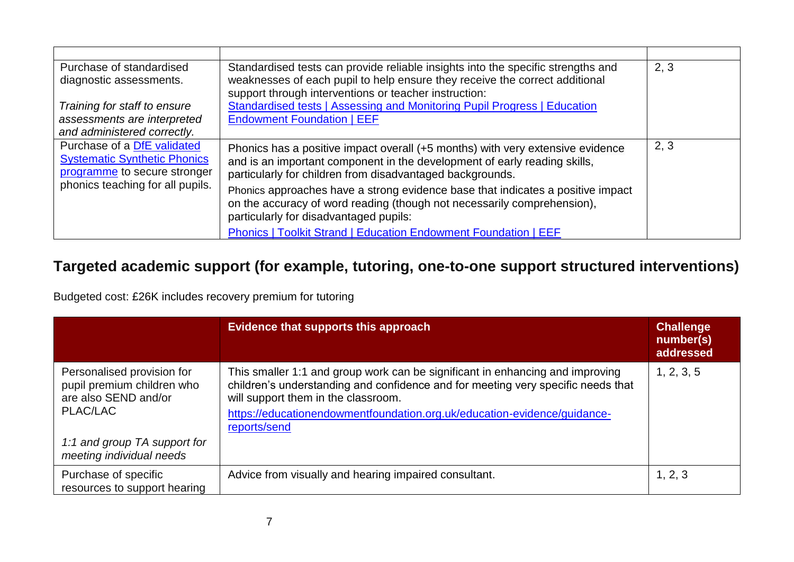| Purchase of standardised<br>diagnostic assessments.                 | Standardised tests can provide reliable insights into the specific strengths and<br>weaknesses of each pupil to help ensure they receive the correct additional<br>support through interventions or teacher instruction: | 2, 3 |
|---------------------------------------------------------------------|--------------------------------------------------------------------------------------------------------------------------------------------------------------------------------------------------------------------------|------|
| Training for staff to ensure                                        | Standardised tests   Assessing and Monitoring Pupil Progress   Education                                                                                                                                                 |      |
| assessments are interpreted<br>and administered correctly.          | <b>Endowment Foundation   EEF</b>                                                                                                                                                                                        |      |
| Purchase of a DfE validated                                         |                                                                                                                                                                                                                          | 2, 3 |
| <b>Systematic Synthetic Phonics</b><br>programme to secure stronger | Phonics has a positive impact overall (+5 months) with very extensive evidence<br>and is an important component in the development of early reading skills,<br>particularly for children from disadvantaged backgrounds. |      |
| phonics teaching for all pupils.                                    | Phonics approaches have a strong evidence base that indicates a positive impact<br>on the accuracy of word reading (though not necessarily comprehension),<br>particularly for disadvantaged pupils:                     |      |
|                                                                     | <b>Phonics   Toolkit Strand   Education Endowment Foundation   EEF</b>                                                                                                                                                   |      |

## **Targeted academic support (for example, tutoring, one-to-one support structured interventions)**

Budgeted cost: £26K includes recovery premium for tutoring

|                                                                                              | Evidence that supports this approach                                                                                                                                                                                                                                                                 | <b>Challenge</b><br>number(s)<br>addressed |
|----------------------------------------------------------------------------------------------|------------------------------------------------------------------------------------------------------------------------------------------------------------------------------------------------------------------------------------------------------------------------------------------------------|--------------------------------------------|
| Personalised provision for<br>pupil premium children who<br>are also SEND and/or<br>PLAC/LAC | This smaller 1:1 and group work can be significant in enhancing and improving<br>children's understanding and confidence and for meeting very specific needs that<br>will support them in the classroom.<br>https://educationendowmentfoundation.org.uk/education-evidence/guidance-<br>reports/send | 1, 2, 3, 5                                 |
| 1:1 and group TA support for<br>meeting individual needs                                     |                                                                                                                                                                                                                                                                                                      |                                            |
| Purchase of specific<br>resources to support hearing                                         | Advice from visually and hearing impaired consultant.                                                                                                                                                                                                                                                | 1, 2, 3                                    |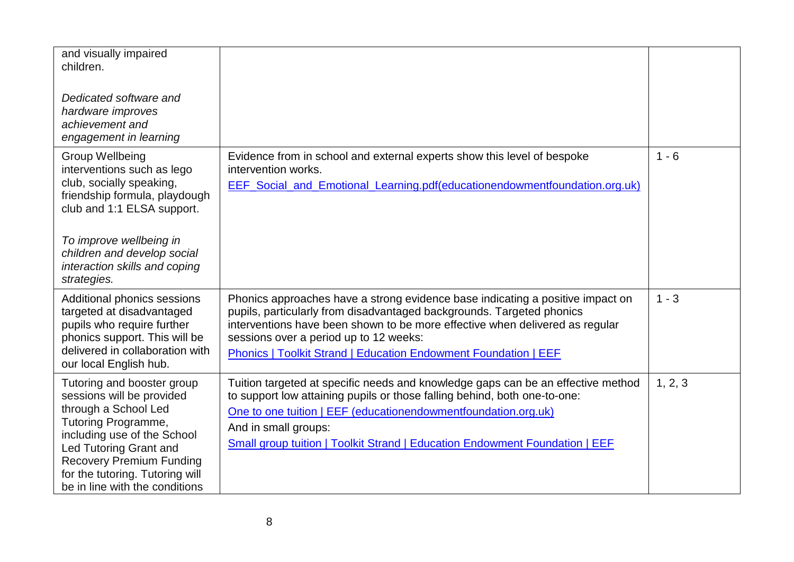| and visually impaired<br>children.<br>Dedicated software and<br>hardware improves<br>achievement and<br>engagement in learning                                                                                                                                                 |                                                                                                                                                                                                                                                                                                                                                             |         |
|--------------------------------------------------------------------------------------------------------------------------------------------------------------------------------------------------------------------------------------------------------------------------------|-------------------------------------------------------------------------------------------------------------------------------------------------------------------------------------------------------------------------------------------------------------------------------------------------------------------------------------------------------------|---------|
| <b>Group Wellbeing</b><br>interventions such as lego<br>club, socially speaking,<br>friendship formula, playdough<br>club and 1:1 ELSA support.<br>To improve wellbeing in<br>children and develop social<br>interaction skills and coping<br>strategies.                      | Evidence from in school and external experts show this level of bespoke<br>intervention works.<br>EEF_Social_and_Emotional_Learning.pdf(educationendowmentfoundation.org.uk)                                                                                                                                                                                | $1 - 6$ |
| Additional phonics sessions<br>targeted at disadvantaged<br>pupils who require further<br>phonics support. This will be<br>delivered in collaboration with<br>our local English hub.                                                                                           | Phonics approaches have a strong evidence base indicating a positive impact on<br>pupils, particularly from disadvantaged backgrounds. Targeted phonics<br>interventions have been shown to be more effective when delivered as regular<br>sessions over a period up to 12 weeks:<br><b>Phonics   Toolkit Strand   Education Endowment Foundation   EEF</b> | $1 - 3$ |
| Tutoring and booster group<br>sessions will be provided<br>through a School Led<br>Tutoring Programme,<br>including use of the School<br><b>Led Tutoring Grant and</b><br><b>Recovery Premium Funding</b><br>for the tutoring. Tutoring will<br>be in line with the conditions | Tuition targeted at specific needs and knowledge gaps can be an effective method<br>to support low attaining pupils or those falling behind, both one-to-one:<br>One to one tuition   EEF (educationendowmentfoundation.org.uk)<br>And in small groups:<br>Small group tuition   Toolkit Strand   Education Endowment Foundation   EEF                      | 1, 2, 3 |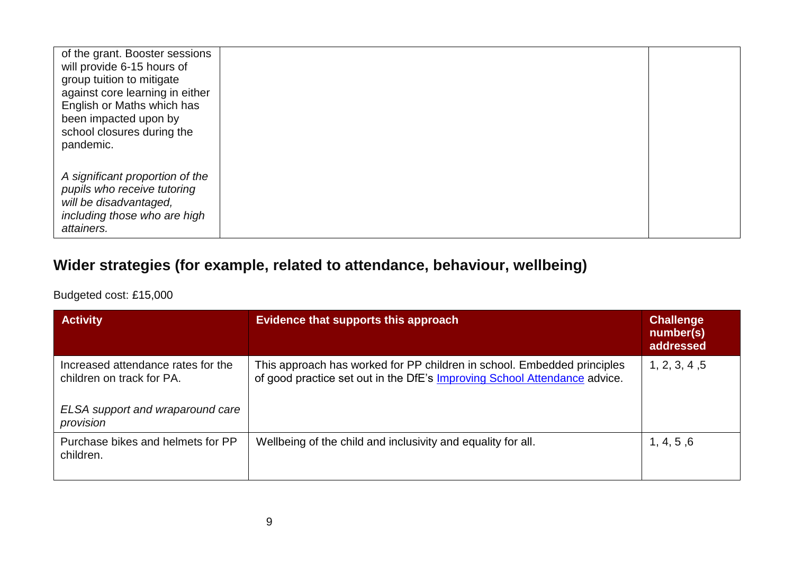| of the grant. Booster sessions<br>will provide 6-15 hours of<br>group tuition to mitigate<br>against core learning in either<br>English or Maths which has<br>been impacted upon by<br>school closures during the<br>pandemic. |
|--------------------------------------------------------------------------------------------------------------------------------------------------------------------------------------------------------------------------------|
| A significant proportion of the<br>pupils who receive tutoring<br>will be disadvantaged,<br>including those who are high                                                                                                       |

# **Wider strategies (for example, related to attendance, behaviour, wellbeing)**

Budgeted cost: £15,000

| <b>Activity</b>                                                                                                  | Evidence that supports this approach                                                                                                                 | <b>Challenge</b><br>number(s)<br>addressed |
|------------------------------------------------------------------------------------------------------------------|------------------------------------------------------------------------------------------------------------------------------------------------------|--------------------------------------------|
| Increased attendance rates for the<br>children on track for PA.<br>ELSA support and wraparound care<br>provision | This approach has worked for PP children in school. Embedded principles<br>of good practice set out in the DfE's Improving School Attendance advice. | 1, 2, 3, 4, 5                              |
| Purchase bikes and helmets for PP<br>children.                                                                   | Wellbeing of the child and inclusivity and equality for all.                                                                                         | 1, 4, 5, 6                                 |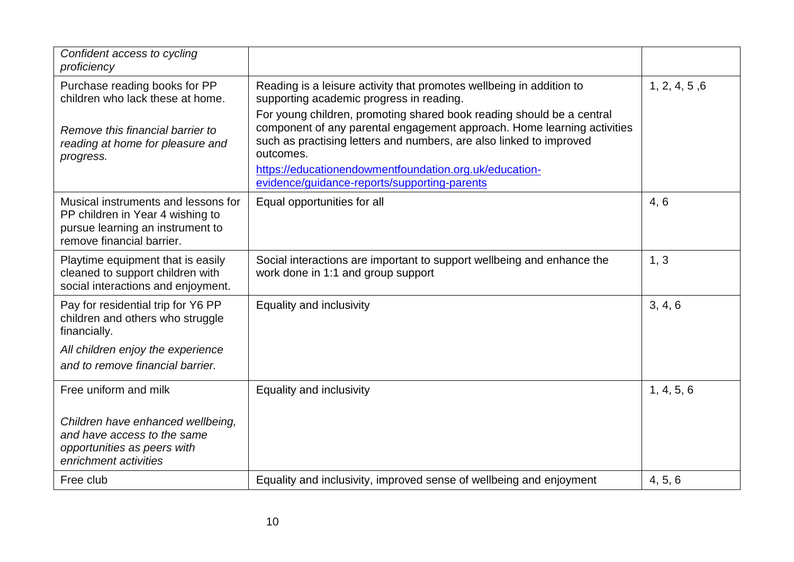| Confident access to cycling<br>proficiency                                                                                                                      |                                                                                                                                                                                                                                                                                                                                                                                                                                                                    |               |
|-----------------------------------------------------------------------------------------------------------------------------------------------------------------|--------------------------------------------------------------------------------------------------------------------------------------------------------------------------------------------------------------------------------------------------------------------------------------------------------------------------------------------------------------------------------------------------------------------------------------------------------------------|---------------|
| Purchase reading books for PP<br>children who lack these at home.<br>Remove this financial barrier to<br>reading at home for pleasure and<br>progress.          | Reading is a leisure activity that promotes wellbeing in addition to<br>supporting academic progress in reading.<br>For young children, promoting shared book reading should be a central<br>component of any parental engagement approach. Home learning activities<br>such as practising letters and numbers, are also linked to improved<br>outcomes.<br>https://educationendowmentfoundation.org.uk/education-<br>evidence/guidance-reports/supporting-parents | 1, 2, 4, 5, 6 |
| Musical instruments and lessons for<br>PP children in Year 4 wishing to<br>pursue learning an instrument to<br>remove financial barrier.                        | Equal opportunities for all                                                                                                                                                                                                                                                                                                                                                                                                                                        | 4, 6          |
| Playtime equipment that is easily<br>cleaned to support children with<br>social interactions and enjoyment.                                                     | Social interactions are important to support wellbeing and enhance the<br>work done in 1:1 and group support                                                                                                                                                                                                                                                                                                                                                       | 1, 3          |
| Pay for residential trip for Y6 PP<br>children and others who struggle<br>financially.<br>All children enjoy the experience<br>and to remove financial barrier. | Equality and inclusivity                                                                                                                                                                                                                                                                                                                                                                                                                                           | 3, 4, 6       |
| Free uniform and milk                                                                                                                                           | Equality and inclusivity                                                                                                                                                                                                                                                                                                                                                                                                                                           | 1, 4, 5, 6    |
| Children have enhanced wellbeing,<br>and have access to the same<br>opportunities as peers with<br>enrichment activities                                        |                                                                                                                                                                                                                                                                                                                                                                                                                                                                    |               |
| Free club                                                                                                                                                       | Equality and inclusivity, improved sense of wellbeing and enjoyment                                                                                                                                                                                                                                                                                                                                                                                                | 4, 5, 6       |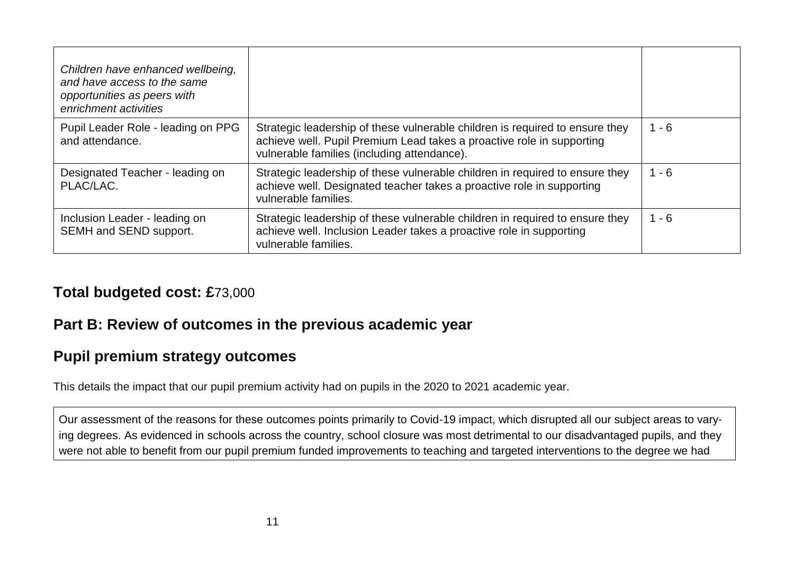| Children have enhanced wellbeing,<br>and have access to the same<br>opportunities as peers with<br>enrichment activities |                                                                                                                                                                                                      |         |
|--------------------------------------------------------------------------------------------------------------------------|------------------------------------------------------------------------------------------------------------------------------------------------------------------------------------------------------|---------|
| Pupil Leader Role - leading on PPG<br>and attendance.                                                                    | Strategic leadership of these vulnerable children is required to ensure they<br>achieve well. Pupil Premium Lead takes a proactive role in supporting<br>vulnerable families (including attendance). | $1 - 6$ |
| Designated Teacher - leading on<br>PLAC/LAC.                                                                             | Strategic leadership of these vulnerable children in required to ensure they<br>achieve well. Designated teacher takes a proactive role in supporting<br>vulnerable families.                        | $1 - 6$ |
| Inclusion Leader - leading on<br>SEMH and SEND support.                                                                  | Strategic leadership of these vulnerable children in required to ensure they<br>achieve well. Inclusion Leader takes a proactive role in supporting<br>vulnerable families.                          | $1 - 6$ |

#### **Total budgeted cost: £**73,000

### **Part B: Review of outcomes in the previous academic year**

### **Pupil premium strategy outcomes**

This details the impact that our pupil premium activity had on pupils in the 2020 to 2021 academic year.

Our assessment of the reasons for these outcomes points primarily to Covid-19 impact, which disrupted all our subject areas to varying degrees. As evidenced in schools across the country, school closure was most detrimental to our disadvantaged pupils, and they were not able to benefit from our pupil premium funded improvements to teaching and targeted interventions to the degree we had